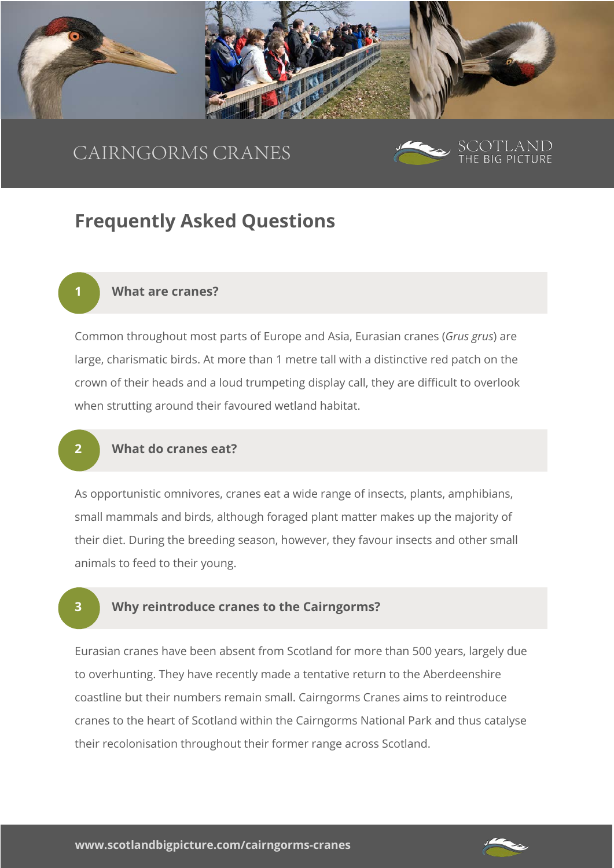

# CAIRNGORMS CRANES



# **Frequently Asked Questions**

#### **1 What are cranes?**

Common throughout most parts of Europe and Asia, Eurasian cranes (*Grus grus*) are large, charismatic birds. At more than 1 metre tall with a distinctive red patch on the crown of their heads and a loud trumpeting display call, they are difficult to overlook when strutting around their favoured wetland habitat.

## **2 What do cranes eat?**

As opportunistic omnivores, cranes eat a wide range of insects, plants, amphibians, small mammals and birds, although foraged plant matter makes up the majority of their diet. During the breeding season, however, they favour insects and other small animals to feed to their young.

# **3 Why reintroduce cranes to the Cairngorms?**

Eurasian cranes have been absent from Scotland for more than 500 years, largely due to overhunting. They have recently made a tentative return to the Aberdeenshire coastline but their numbers remain small. Cairngorms Cranes aims to reintroduce cranes to the heart of Scotland within the Cairngorms National Park and thus catalyse their recolonisation throughout their former range across Scotland.

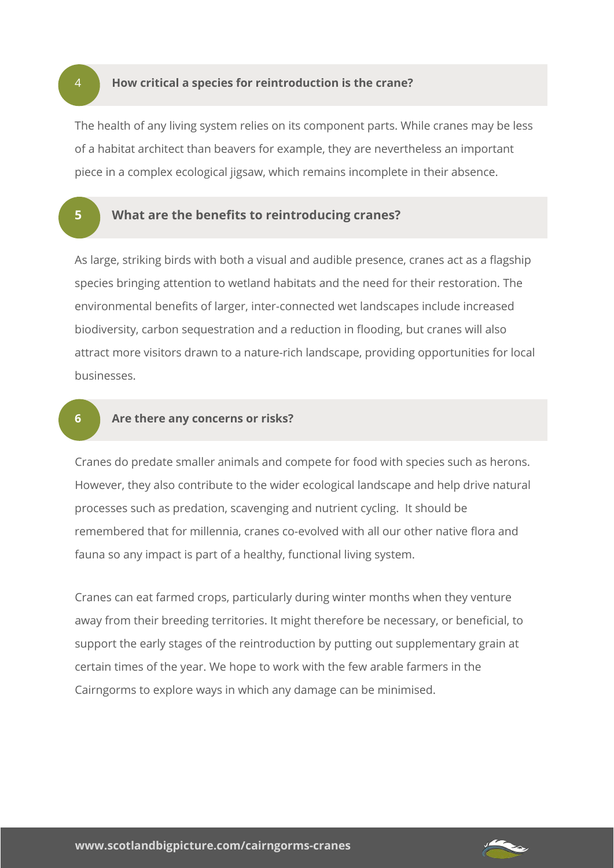4 **How critical a species for reintroduction is the crane?** 

The health of any living system relies on its component parts. While cranes may be less of a habitat architect than beavers for example, they are nevertheless an important piece in a complex ecological jigsaw, which remains incomplete in their absence.

# **5 What are the benefits to reintroducing cranes?**

As large, striking birds with both a visual and audible presence, cranes act as a flagship species bringing attention to wetland habitats and the need for their restoration. The environmental benefits of larger, inter-connected wet landscapes include increased biodiversity, carbon sequestration and a reduction in flooding, but cranes will also attract more visitors drawn to a nature-rich landscape, providing opportunities for local businesses.

#### **6 Are there any concerns or risks?**

Cranes do predate smaller animals and compete for food with species such as herons. However, they also contribute to the wider ecological landscape and help drive natural processes such as predation, scavenging and nutrient cycling. It should be remembered that for millennia, cranes co-evolved with all our other native flora and fauna so any impact is part of a healthy, functional living system.

Cranes can eat farmed crops, particularly during winter months when they venture away from their breeding territories. It might therefore be necessary, or beneficial, to support the early stages of the reintroduction by putting out supplementary grain at certain times of the year. We hope to work with the few arable farmers in the Cairngorms to explore ways in which any damage can be minimised.

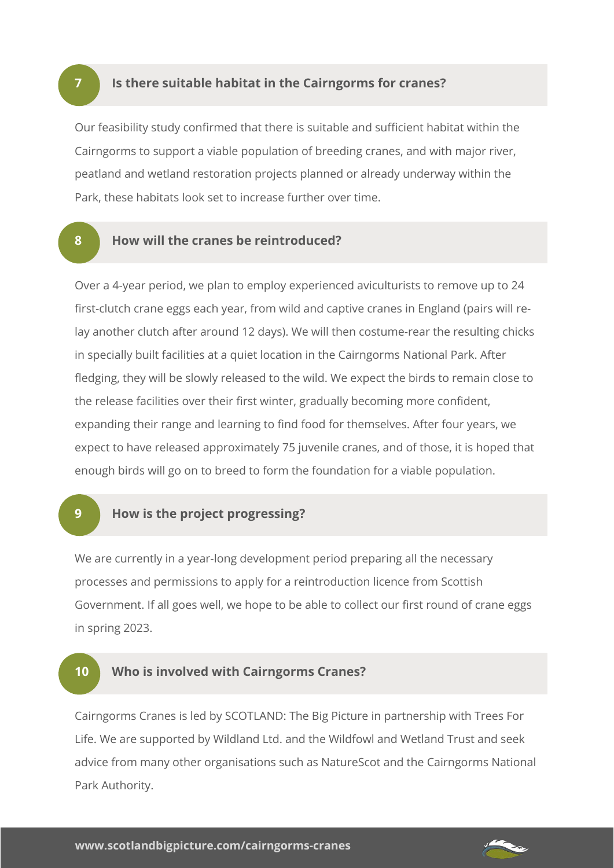### **7 Is there suitable habitat in the Cairngorms for cranes?**

Our feasibility study confirmed that there is suitable and sufficient habitat within the Cairngorms to support a viable population of breeding cranes, and with major river, peatland and wetland restoration projects planned or already underway within the Park, these habitats look set to increase further over time.

# **8 How will the cranes be reintroduced?**

Over a 4-year period, we plan to employ experienced aviculturists to remove up to 24 first-clutch crane eggs each year, from wild and captive cranes in England (pairs will relay another clutch after around 12 days). We will then costume-rear the resulting chicks in specially built facilities at a quiet location in the Cairngorms National Park. After fledging, they will be slowly released to the wild. We expect the birds to remain close to the release facilities over their first winter, gradually becoming more confident, expanding their range and learning to find food for themselves. After four years, we expect to have released approximately 75 juvenile cranes, and of those, it is hoped that enough birds will go on to breed to form the foundation for a viable population.

# **9 How is the project progressing?**

We are currently in a year-long development period preparing all the necessary processes and permissions to apply for a reintroduction licence from Scottish Government. If all goes well, we hope to be able to collect our first round of crane eggs in spring 2023.

# **10 Who is involved with Cairngorms Cranes?**

Cairngorms Cranes is led by SCOTLAND: The Big Picture in partnership with Trees For Life. We are supported by Wildland Ltd. and the Wildfowl and Wetland Trust and seek advice from many other organisations such as NatureScot and the Cairngorms National Park Authority.